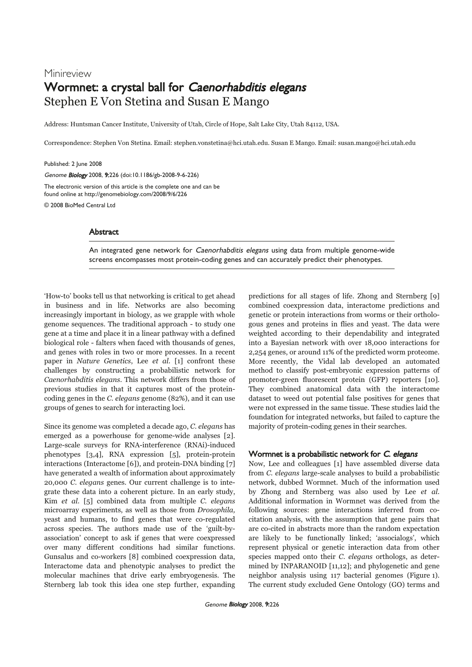# Minireview Wormnet: a crystal ball for Caenorhabditis elegans Stephen E Von Stetina and Susan E Mango

Address: Huntsman Cancer Institute, University of Utah, Circle of Hope, Salt Lake City, Utah 84112, USA.

Correspondence: Stephen Von Stetina. Email: stephen.vonstetina@hci.utah.edu. Susan E Mango. Email: susan.mango@hci.utah.edu

Published: 2 June 2008 Genome Biology 2008, 9:226 (doi:10.1186/gb-2008-9-6-226)

The electronic version of this article is the complete one and can be found online at http://genomebiology.com/2008/9/6/226 © 2008 BioMed Central Ltd

## Abstract

An integrated gene network for *Caenorhabditis elegans* using data from multiple genome-wide screens encompasses most protein-coding genes and can accurately predict their phenotypes.

'How-to' books tell us that networking is critical to get ahead in business and in life. Networks are also becoming increasingly important in biology, as we grapple with whole genome sequences. The traditional approach - to study one gene at a time and place it in a linear pathway with a defined biological role - falters when faced with thousands of genes, and genes with roles in two or more processes. In a recent paper in Nature Genetics, Lee et al. [1] confront these challenges by constructing a probabilistic network for Caenorhabditis elegans. This network differs from those of previous studies in that it captures most of the proteincoding genes in the C. elegans genome (82%), and it can use groups of genes to search for interacting loci.

Since its genome was completed a decade ago, C. elegans has emerged as a powerhouse for genome-wide analyses [2]. Large-scale surveys for RNA-interference (RNAi)-induced phenotypes [3,4], RNA expression [5], protein-protein interactions (Interactome [6]), and protein-DNA binding [7] have generated a wealth of information about approximately 20,000 C. elegans genes. Our current challenge is to integrate these data into a coherent picture. In an early study, Kim et al. [5] combined data from multiple C. elegans microarray experiments, as well as those from Drosophila, yeast and humans, to find genes that were co-regulated across species. The authors made use of the 'guilt-byassociation' concept to ask if genes that were coexpressed over many different conditions had similar functions. Gunsalus and co-workers [8] combined coexpression data, Interactome data and phenotypic analyses to predict the molecular machines that drive early embryogenesis. The Sternberg lab took this idea one step further, expanding

predictions for all stages of life. Zhong and Sternberg [9] combined coexpression data, interactome predictions and genetic or protein interactions from worms or their orthologous genes and proteins in flies and yeast. The data were weighted according to their dependability and integrated into a Bayesian network with over 18,000 interactions for 2,254 genes, or around 11% of the predicted worm proteome. More recently, the Vidal lab developed an automated method to classify post-embryonic expression patterns of promoter-green fluorescent protein (GFP) reporters [10]. They combined anatomical data with the interactome dataset to weed out potential false positives for genes that were not expressed in the same tissue. These studies laid the foundation for integrated networks, but failed to capture the majority of protein-coding genes in their searches.

# Wormnet is a probabilistic network for C. elegans

Now, Lee and colleagues [1] have assembled diverse data from C. elegans large-scale analyses to build a probabilistic network, dubbed Wormnet. Much of the information used by Zhong and Sternberg was also used by Lee et al. Additional information in Wormnet was derived from the following sources: gene interactions inferred from cocitation analysis, with the assumption that gene pairs that are co-cited in abstracts more than the random expectation are likely to be functionally linked; 'associalogs', which represent physical or genetic interaction data from other species mapped onto their C. elegans orthologs, as determined by INPARANOID [11,12]; and phylogenetic and gene neighbor analysis using 117 bacterial genomes (Figure 1). The current study excluded Gene Ontology (GO) terms and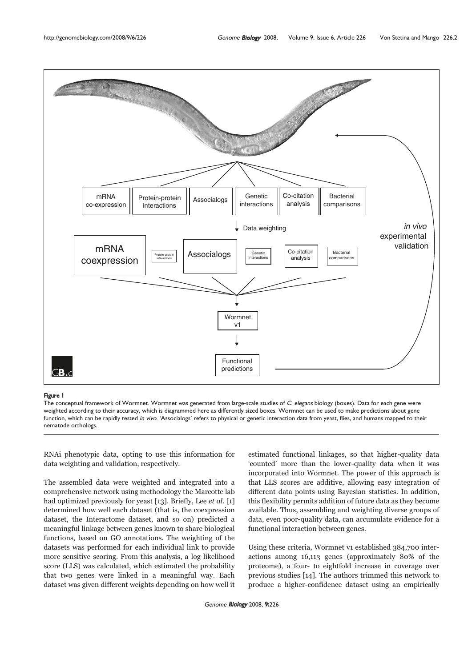

### Figure 1

The conceptual framework of Wormnet. Wormnet was generated from large-scale studies of C. elegans biology (boxes). Data for each gene were weighted according to their accuracy, which is diagrammed here as differently sized boxes. Wormnet can be used to make predictions about gene function, which can be rapidly tested in vivo. 'Associalogs' refers to physical or genetic interaction data from yeast, flies, and humans mapped to their nematode orthologs.

RNAi phenotypic data, opting to use this information for data weighting and validation, respectively.

The assembled data were weighted and integrated into a comprehensive network using methodology the Marcotte lab had optimized previously for yeast [13]. Briefly, Lee et al. [1] determined how well each dataset (that is, the coexpression dataset, the Interactome dataset, and so on) predicted a meaningful linkage between genes known to share biological functions, based on GO annotations. The weighting of the datasets was performed for each individual link to provide more sensitive scoring. From this analysis, a log likelihood score (LLS) was calculated, which estimated the probability that two genes were linked in a meaningful way. Each dataset was given different weights depending on how well it

estimated functional linkages, so that higher-quality data 'counted' more than the lower-quality data when it was incorporated into Wormnet. The power of this approach is that LLS scores are additive, allowing easy integration of different data points using Bayesian statistics. In addition, this flexibility permits addition of future data as they become available. Thus, assembling and weighting diverse groups of data, even poor-quality data, can accumulate evidence for a functional interaction between genes.

Using these criteria, Wormnet v1 established 384,700 interactions among 16,113 genes (approximately 80% of the proteome), a four- to eightfold increase in coverage over previous studies [14]. The authors trimmed this network to produce a higher-confidence dataset using an empirically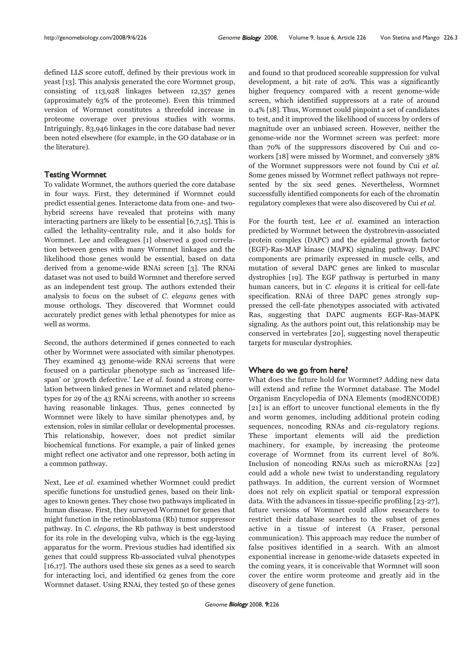defined LLS score cutoff, defined by their previous work in yeast [13]. This analysis generated the core Wormnet group, consisting of 113,928 linkages between 12,357 genes (approximately 63% of the proteome). Even this trimmed version of Wormnet constitutes a threefold increase in proteome coverage over previous studies with worms. Intriguingly, 83,946 linkages in the core database had never been noted elsewhere (for example, in the GO database or in the literature).

## Testing Wormnet

To validate Wormnet, the authors queried the core database in four ways. First, they determined if Wormnet could predict essential genes. Interactome data from one- and twohybrid screens have revealed that proteins with many interacting partners are likely to be essential [6,7,15]. This is called the lethality-centrality rule, and it also holds for Wormnet. Lee and colleagues [1] observed a good correlation between genes with many Wormnet linkages and the likelihood those genes would be essential, based on data derived from a genome-wide RNAi screen [3]. The RNAi dataset was not used to build Wormnet and therefore served as an independent test group. The authors extended their analysis to focus on the subset of C. elegans genes with mouse orthologs. They discovered that Wormnet could accurately predict genes with lethal phenotypes for mice as well as worms.

Second, the authors determined if genes connected to each other by Wormnet were associated with similar phenotypes. They examined 43 genome-wide RNAi screens that were focused on a particular phenotype such as 'increased lifespan' or 'growth defective.' Lee et al. found a strong correlation between linked genes in Wormnet and related phenotypes for 29 of the 43 RNAi screens, with another 10 screens having reasonable linkages. Thus, genes connected by Wormnet were likely to have similar phenotypes and, by extension, roles in similar cellular or developmental processes. This relationship, however, does not predict similar biochemical functions. For example, a pair of linked genes might reflect one activator and one repressor, both acting in a common pathway.

Next, Lee et al. examined whether Wormnet could predict specific functions for unstudied genes, based on their linkages to known genes. They chose two pathways implicated in human disease. First, they surveyed Wormnet for genes that might function in the retinoblastoma (Rb) tumor suppressor pathway. In C. elegans, the Rb pathway is best understood for its role in the developing vulva, which is the egg-laying apparatus for the worm. Previous studies had identified six genes that could suppress Rb-associated vulval phenotypes [16,17]. The authors used these six genes as a seed to search for interacting loci, and identified 62 genes from the core Wormnet dataset. Using RNAi, they tested 50 of these genes and found 10 that produced scoreable suppression for vulval development, a hit rate of 20%. This was a significantly higher frequency compared with a recent genome-wide screen, which identified suppressors at a rate of around 0.4% [18]. Thus, Wormnet could pinpoint a set of candidates to test, and it improved the likelihood of success by orders of magnitude over an unbiased screen. However, neither the genome-wide nor the Wormnet screen was perfect: more than 70% of the suppressors discovered by Cui and coworkers [18] were missed by Wormnet, and conversely 38% of the Wormnet suppressors were not found by Cui et al. Some genes missed by Wormnet reflect pathways not represented by the six seed genes. Nevertheless, Wormnet successfully identified components for each of the chromatin regulatory complexes that were also discovered by Cui et al.

For the fourth test, Lee et al. examined an interaction predicted by Wormnet between the dystrobrevin-associated protein complex (DAPC) and the epidermal growth factor (EGF)-Ras-MAP kinase (MAPK) signaling pathway. DAPC components are primarily expressed in muscle cells, and mutation of several DAPC genes are linked to muscular dystrophies [19]. The EGF pathway is perturbed in many human cancers, but in C. elegans it is critical for cell-fate specification. RNAi of three DAPC genes strongly suppressed the cell-fate phenotypes associated with activated Ras, suggesting that DAPC augments EGF-Ras-MAPK signaling. As the authors point out, this relationship may be conserved in vertebrates [20], suggesting novel therapeutic targets for muscular dystrophies.

## Where do we go from here?

What does the future hold for Wormnet? Adding new data will extend and refine the Wormnet database. The Model Organism Encyclopedia of DNA Elements (modENCODE) [21] is an effort to uncover functional elements in the fly and worm genomes, including additional protein coding sequences, noncoding RNAs and cis-regulatory regions. These important elements will aid the prediction machinery, for example, by increasing the proteome coverage of Wormnet from its current level of 80%. Inclusion of noncoding RNAs such as microRNAs [22] could add a whole new twist to understanding regulatory pathways. In addition, the current version of Wormnet does not rely on explicit spatial or temporal expression data. With the advances in tissue-specific profiling [23-27], future versions of Wormnet could allow researchers to restrict their database searches to the subset of genes active in a tissue of interest (A Fraser, personal communication). This approach may reduce the number of false positives identified in a search. With an almost exponential increase in genome-wide datasets expected in the coming years, it is conceivable that Wormnet will soon cover the entire worm proteome and greatly aid in the discovery of gene function.